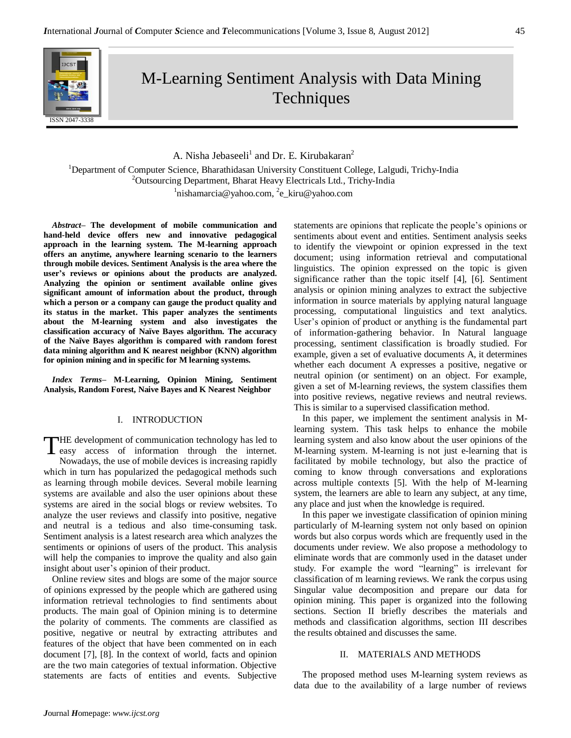# M-Learning Sentiment Analysis with Data Mining **Techniques**

A. Nisha Jebaseeli<sup>1</sup> and Dr. E. Kirubakaran<sup>2</sup>

<sup>1</sup>Department of Computer Science, Bharathidasan University Constituent College, Lalgudi, Trichy-India <sup>2</sup>Outsourcing Department, Bharat Heavy Electricals Ltd., Trichy-India <sup>1</sup>nishamarcia@yahoo.com, <sup>2</sup>e\_kiru@yahoo.com

*Abstract–* **The development of mobile communication and hand-held device offers new and innovative pedagogical approach in the learning system. The M-learning approach offers an anytime, anywhere learning scenario to the learners through mobile devices. Sentiment Analysis is the area where the user's reviews or opinions about the products are analyzed. Analyzing the opinion or sentiment available online gives significant amount of information about the product, through which a person or a company can gauge the product quality and its status in the market. This paper analyzes the sentiments about the M-learning system and also investigates the classification accuracy of Naïve Bayes algorithm. The accuracy of the Naïve Bayes algorithm is compared with random forest data mining algorithm and K nearest neighbor (KNN) algorithm for opinion mining and in specific for M learning systems.**

*Index Terms–* **M-Learning, Opinion Mining, Sentiment Analysis, Random Forest, Naive Bayes and K Nearest Neighbor**

# I. INTRODUCTION

THE development of communication technology has led to THE development of communication technology has led to easy access of information through the internet. Nowadays, the use of mobile devices is increasing rapidly which in turn has popularized the pedagogical methods such as learning through mobile devices. Several mobile learning systems are available and also the user opinions about these systems are aired in the social blogs or review websites. To analyze the user reviews and classify into positive, negative and neutral is a tedious and also time-consuming task. Sentiment analysis is a latest research area which analyzes the sentiments or opinions of users of the product. This analysis will help the companies to improve the quality and also gain insight about user's opinion of their product.

Online review sites and blogs are some of the major source of opinions expressed by the people which are gathered using information retrieval technologies to find sentiments about products. The main goal of Opinion mining is to determine the polarity of comments. The comments are classified as positive, negative or neutral by extracting attributes and features of the object that have been commented on in each document [7], [8]. In the context of world, facts and opinion are the two main categories of textual information. Objective statements are facts of entities and events. Subjective

statements are opinions that replicate the people's opinions or sentiments about event and entities. Sentiment analysis seeks to identify the viewpoint or opinion expressed in the text document; using information retrieval and computational linguistics. The opinion expressed on the topic is given significance rather than the topic itself [4], [6]. Sentiment analysis or opinion mining analyzes to extract the subjective information in source materials by applying natural language processing, computational linguistics and text analytics. User's opinion of product or anything is the fundamental part of information-gathering behavior. In Natural language processing, sentiment classification is broadly studied. For example, given a set of evaluative documents A, it determines whether each document A expresses a positive, negative or neutral opinion (or sentiment) on an object. For example, given a set of M-learning reviews, the system classifies them into positive reviews, negative reviews and neutral reviews. This is similar to a supervised classification method.

In this paper, we implement the sentiment analysis in Mlearning system. This task helps to enhance the mobile learning system and also know about the user opinions of the M-learning system. M-learning is not just e-learning that is facilitated by mobile technology, but also the practice of coming to know through conversations and explorations across multiple contexts [5]. With the help of M-learning system, the learners are able to learn any subject, at any time, any place and just when the knowledge is required.

In this paper we investigate classification of opinion mining particularly of M-learning system not only based on opinion words but also corpus words which are frequently used in the documents under review. We also propose a methodology to eliminate words that are commonly used in the dataset under study. For example the word "learning" is irrelevant for classification of m learning reviews. We rank the corpus using Singular value decomposition and prepare our data for opinion mining. This paper is organized into the following sections. Section II briefly describes the materials and methods and classification algorithms, section III describes the results obtained and discusses the same.

# II. MATERIALS AND METHODS

The proposed method uses M-learning system reviews as data due to the availability of a large number of reviews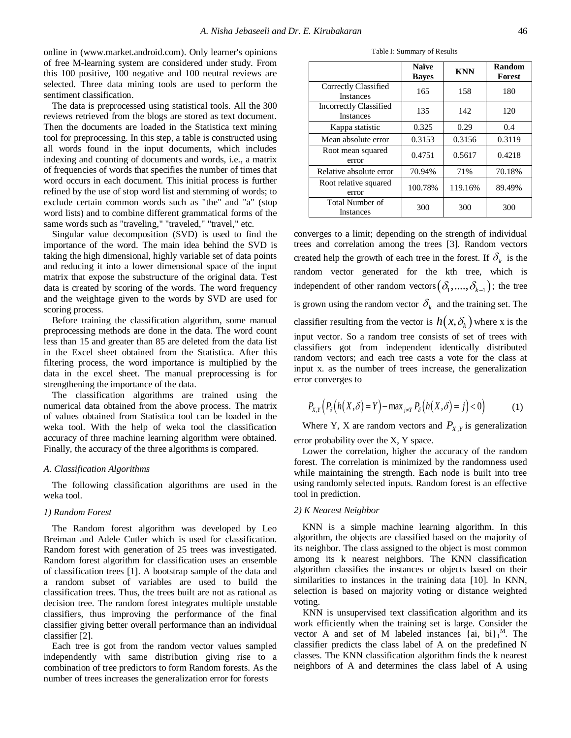online in [\(www.market.android.com\)](http://www.market.android.com/). Only learner's opinions of free M-learning system are considered under study. From this 100 positive, 100 negative and 100 neutral reviews are selected. Three data mining tools are used to perform the sentiment classification.

The data is preprocessed using statistical tools. All the 300 reviews retrieved from the blogs are stored as text document. Then the documents are loaded in the Statistica text mining tool for preprocessing. In this step, a table is constructed using all words found in the input documents, which includes indexing and counting of documents and words, i.e., a matrix of frequencies of words that specifies the number of times that word occurs in each document. This initial process is further refined by the use of stop word list and stemming of words; to exclude certain common words such as "the" and "a" (stop word lists) and to combine different grammatical forms of the same words such as "traveling," "traveled," "travel," etc.

Singular value decomposition (SVD) is used to find the importance of the word. The main idea behind the SVD is taking the high dimensional, highly variable set of data points and reducing it into a lower dimensional space of the input matrix that expose the substructure of the original data. Test data is created by scoring of the words. The word frequency and the weightage given to the words by SVD are used for scoring process.

Before training the classification algorithm, some manual preprocessing methods are done in the data. The word count less than 15 and greater than 85 are deleted from the data list in the Excel sheet obtained from the Statistica. After this filtering process, the word importance is multiplied by the data in the excel sheet. The manual preprocessing is for strengthening the importance of the data.

The classification algorithms are trained using the numerical data obtained from the above process. The matrix of values obtained from Statistica tool can be loaded in the weka tool. With the help of weka tool the classification accuracy of three machine learning algorithm were obtained. Finally, the accuracy of the three algorithms is compared.

#### *A. Classification Algorithms*

The following classification algorithms are used in the weka tool.

# *1) Random Forest*

The Random forest algorithm was developed by Leo Breiman and Adele Cutler which is used for classification. Random forest with generation of 25 trees was investigated. Random forest algorithm for classification uses an ensemble of classification trees [1]. A bootstrap sample of the data and a random subset of variables are used to build the classification trees. Thus, the trees built are not as rational as decision tree. The random forest integrates multiple unstable classifiers, thus improving the performance of the final classifier giving better overall performance than an individual classifier [2].

Each tree is got from the random vector values sampled independently with same distribution giving rise to a combination of tree predictors to form Random forests. As the number of trees increases the generalization error for forests

Table I: Summary of Results

|  |                                                   | <b>Naïve</b><br><b>Bayes</b> | <b>KNN</b> | Random<br>Forest |
|--|---------------------------------------------------|------------------------------|------------|------------------|
|  | Correctly Classified<br><b>Instances</b>          | 165                          | 158        | 180              |
|  | <b>Incorrectly Classified</b><br><b>Instances</b> | 135                          | 142        | 120              |
|  | Kappa statistic                                   | 0.325                        | 0.29       | 0.4              |
|  | Mean absolute error                               | 0.3153                       | 0.3156     | 0.3119           |
|  | Root mean squared<br>error                        | 0.4751                       | 0.5617     | 0.4218           |
|  | Relative absolute error                           | 70.94%                       | 71%        | 70.18%           |
|  | Root relative squared<br>error                    | 100.78%                      | 119.16%    | 89.49%           |
|  | <b>Total Number of</b><br><b>Instances</b>        | 300                          | 300        | 300              |

converges to a limit; depending on the strength of individual trees and correlation among the trees [3]. Random vectors created help the growth of each tree in the forest. If  $\delta_k$  is the random vector generated for the kth tree, which is independent of other random vectors  $(\delta_1, ..., \delta_{k-1})$ ; the tree is grown using the random vector  $\delta_k$  and the training set. The classifier resulting from the vector is  $h(x, \delta_k)$  where x is the input vector. So a random tree consists of set of trees with classifiers got from independent identically distributed random vectors; and each tree casts a vote for the class at input x. as the number of trees increase, the generalization error converges to

$$
P_{X,Y}\left(P_{\delta}\left(h(X,\delta)=Y\right)-\max_{j\neq Y}P_{\delta}\left(h(X,\delta)=j\right)<0\right)\tag{1}
$$

Where Y, X are random vectors and  $P_{X,Y}$  is generalization error probability over the X, Y space.

Lower the correlation, higher the accuracy of the random forest. The correlation is minimized by the randomness used while maintaining the strength. Each node is built into tree using randomly selected inputs. Random forest is an effective tool in prediction.

#### *2) K Nearest Neighbor*

KNN is a simple machine learning algorithm. In this algorithm, the objects are classified based on the majority of its neighbor. The class assigned to the object is most common among its k nearest neighbors. The KNN classification algorithm classifies the instances or objects based on their similarities to instances in the training data [10]. In KNN, selection is based on majority voting or distance weighted voting.

KNN is unsupervised text classification algorithm and its work efficiently when the training set is large. Consider the vector A and set of M labeled instances  ${ai, bi}_1^M$ . The classifier predicts the class label of A on the predefined N classes. The KNN classification algorithm finds the k nearest neighbors of A and determines the class label of A using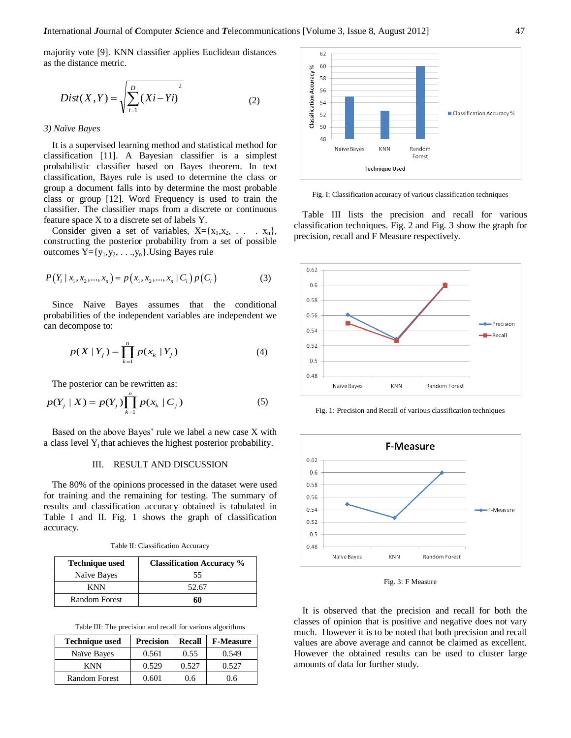majority vote [9]. KNN classifier applies Euclidean distances as the distance metric.

$$
Dist(X, Y) = \sqrt{\sum_{i=1}^{D} (Xi - Y_i)^2}
$$
 (2)

# *3) Naïve Bayes*

It is a supervised learning method and statistical method for classification [11]. A Bayesian classifier is a simplest probabilistic classifier based on Bayes theorem. In text classification, Bayes rule is used to determine the class or group a document falls into by determine the most probable class or group [12]. Word Frequency is used to train the classifier. The classifier maps from a discrete or continuous feature space X to a discrete set of labels Y.

Consider given a set of variables,  $X = \{x_1, x_2, \ldots, x_n\}$ , constructing the posterior probability from a set of possible outcomes  $Y = \{y_1, y_2, \ldots, y_n\}$ . Using Bayes rule

$$
P(Y_i | x_1, x_2, ..., x_n) = p(x_1, x_2, ..., x_n | C_i) p(C_i)
$$
 (3)

Since Naive Bayes assumes that the conditional probabilities of the independent variables are independent we can decompose to:

$$
p(X | Y_j) = \prod_{k=1}^{n} p(x_k | Y_j)
$$
 (4)

The posterior can be rewritten as:

$$
p(Y_j | X) = p(Y_j) \prod_{k=1}^{n} p(x_k | C_j)
$$
 (5)

Based on the above Bayes' rule we label a new case X with a class level  $Y_i$  that achieves the highest posterior probability.

# III. RESULT AND DISCUSSION

The 80% of the opinions processed in the dataset were used for training and the remaining for testing. The summary of results and classification accuracy obtained is tabulated in Table I and II. Fig. 1 shows the graph of classification accuracy.

Table II: Classification Accuracy

| <b>Technique used</b> | <b>Classification Accuracy</b> % |  |
|-----------------------|----------------------------------|--|
| Naïve Bayes           | 55                               |  |
| <b>KNN</b>            | 52.67                            |  |
| <b>Random Forest</b>  | 60                               |  |

Table III: The precision and recall for various algorithms

| <b>Technique used</b> | <b>Precision</b> | <b>Recall</b> | <b>F-Measure</b> |
|-----------------------|------------------|---------------|------------------|
| Naïve Bayes           | 0.561            | 0.55          | 0.549            |
| KNN                   | 0.529            | 0.527         | 0.527            |
| Random Forest         | 0.601            | 0.6           | 0.6              |



Fig. I: Classification accuracy of various classification techniques

Table III lists the precision and recall for various classification techniques. Fig. 2 and Fig. 3 show the graph for precision, recall and F Measure respectively.



Fig. 1: Precision and Recall of various classification techniques



Fig. 3: F Measure

It is observed that the precision and recall for both the classes of opinion that is positive and negative does not vary much. However it is to be noted that both precision and recall values are above average and cannot be claimed as excellent. However the obtained results can be used to cluster large amounts of data for further study.